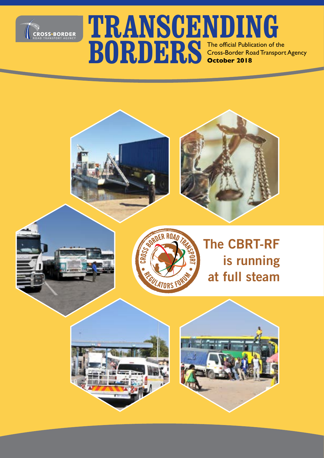

### **TRANSCENDING BORDERS** The official Publication of the Cross-Border Road Transport Cross-Border Road Transport Agency **October 2018**





### **The CBRT-RF is running at full steam**



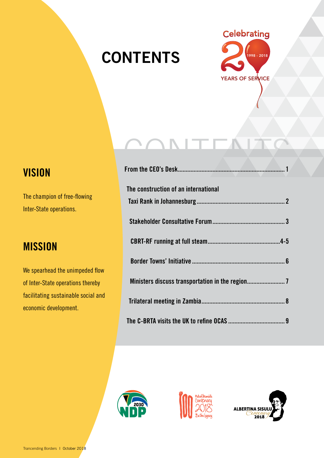### **CONTENTS**



# CONTENTS

| The construction of an international |  |
|--------------------------------------|--|
|                                      |  |
|                                      |  |
|                                      |  |
|                                      |  |
|                                      |  |
|                                      |  |
|                                      |  |







### **VISION**

The champion of free-flowing Inter-State operations.

### **MISSION**

We spearhead the unimpeded flow of Inter-State operations thereby facilitating sustainable social and economic development.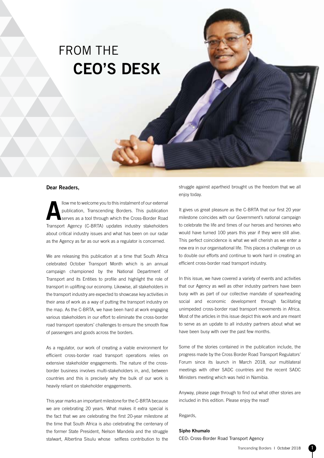### FROM THE **CEO'S DESK**

#### **Dear Readers,**

**Allow me to welcome you to this instalment of our external publication, Transcending Borders. This publication serves as a tool through which the Cross-Border Road** publication, Transcending Borders. This publication serves as a tool through which the Cross-Border Road Transport Agency (C-BRTA) updates industry stakeholders about critical industry issues and what has been on our radar as the Agency as far as our work as a regulator is concerned.

We are releasing this publication at a time that South Africa celebrated October Transport Month which is an annual campaign championed by the National Department of Transport and its Entities to profile and highlight the role of transport in uplifting our economy. Likewise, all stakeholders in the transport industry are expected to showcase key activities in their area of work as a way of putting the transport industry on the map. As the C-BRTA, we have been hard at work engaging various stakeholders in our effort to eliminate the cross-border road transport operators' challenges to ensure the smooth flow of passengers and goods across the borders.

As a regulator, our work of creating a viable environment for efficient cross-border road transport operations relies on extensive stakeholder engagements. The nature of the crossborder business involves multi-stakeholders in, and, between countries and this is precisely why the bulk of our work is heavily reliant on stakeholder engagements.

This year marks an important milestone for the C-BRTA because we are celebrating 20 years. What makes it extra special is the fact that we are celebrating the first 20-year milestone at the time that South Africa is also celebrating the centenary of the former State President, Nelson Mandela and the struggle stalwart, Albertina Sisulu whose selfless contribution to the struggle against apartheid brought us the freedom that we all enjoy today.

It gives us great pleasure as the C-BRTA that our first 20 year milestone coincides with our Government's national campaign to celebrate the life and times of our heroes and heroines who would have turned 100 years this year if they were still alive. This perfect coincidence is what we will cherish as we enter a new era in our organisational life. This places a challenge on us to double our efforts and continue to work hard in creating an efficient cross-border road transport industry.

In this issue, we have covered a variety of events and activities that our Agency as well as other industry partners have been busy with as part of our collective mandate of spearheading social and economic development through facilitating unimpeded cross-border road transport movements in Africa. Most of the articles in this issue depict this work and are meant to serve as an update to all industry partners about what we have been busy with over the past few months.

Some of the stories contained in the publication include, the progress made by the Cross Border Road Transport Regulators' Forum since its launch in March 2018, our multilateral meetings with other SADC countries and the recent SADC Ministers meeting which was held in Namibia.

Anyway, please page through to find out what other stories are included in this edition. Please enjoy the read!

Regards,

#### **Sipho Khumalo**

CEO: Cross-Border Road Transport Agency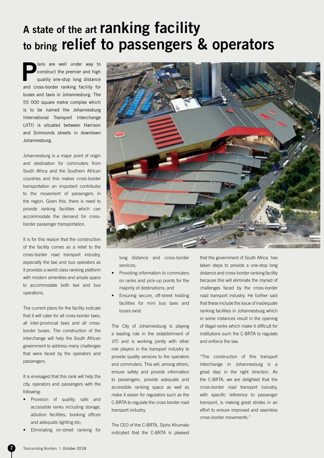### **A state of the art ranking facility to bring relief to passengers & operators**

**Plans are well under way to construct the premier and high quality one-stop long distance** construct the premier and high and cross-border ranking facility for buses and taxis in Johannesburg. The 55 000 square metre complex which is to be named the Johannesburg International Transport Interchange (JITI) is situated between Harrison and Simmonds streets in downtown Johannesburg.

Johannesburg is a major point of origin and destination for commuters from South Africa and the Southern African countries and this makes cross-border transportation an important contributor to the movement of passengers in the region. Given this, there is need to provide ranking facilities which can accommodate the demand for crossborder passenger transportation.

It is for this reason that the construction of the facility comes as a relief to the cross-border road transport industry, especially the taxi and bus operators as it provides a world class ranking platform with modern amenities and ample space to accommodate both taxi and bus operations.

The current plans for the facility indicate that it will cater for all cross-border taxis, all inter-provincial taxis and all crossborder buses. The construction of the interchange will help the South African government to address many challenges that were faced by the operators and passengers.

It is envisaged that this rank will help the city, operators and passengers with the following:

- Provision of quality, safe and accessible ranks including storage, ablution facilities, booking offices and adequate lighting etc;
- Eliminating on-street ranking for



long distance and cross-border services;

- Providing information to commuters on ranks and pick-up points for the majority of destinations; and
- Ensuring secure, off-street holding facilities for mini bus taxis and buses exist.

The City of Johannesburg is playing a leading role in the establishment of JITI and is working jointly with other role players in the transport industry to provide quality services to the operators and commuters. This will, among others, ensure safety and provide information to passengers, provide adequate and accessible ranking space as well as make it easier for regulators such as the C-BRTA to regulate the cross border road transport industry.

The CEO of the C-BRTA, Sipho Khumalo indicated that the C-BRTA is pleased

that the government of South Africa has taken steps to provide a one-stop long distance and cross-border ranking facility because this will eliminate the myriad of challenges faced by the cross-border road transport industry. He further said that these include the issue of inadequate ranking facilities in Johannesburg which in some instances result in the opening of illegal ranks which make it difficult for institutions such the C-BRTA to regulate and enforce the law.

"The construction of this transport interchange in Johannesburg is a great step in the right direction. As the C-BRTA, we are delighted that the cross-border road transport industry, with specific reference to passenger transport, is making great strides in an effort to ensure improved and seamless cross-border movements."

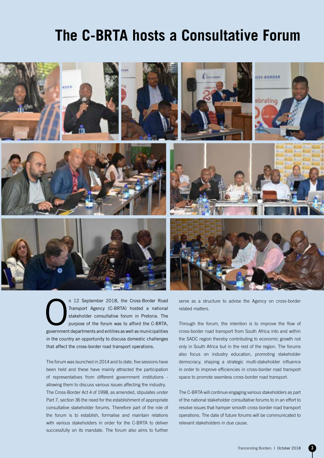### **The C-BRTA hosts a Consultative Forum**



n 12 September 2018, the Cross-Border Road<br>Transport Agency (C-BRTA) hosted a national<br>stakeholder consultative forum in Pretoria. The<br>purpose of the forum was to afford the C-BRTA,<br>government denartments and entities as w Transport Agency (C-BRTA) hosted a national stakeholder consultative forum in Pretoria. The purpose of the forum was to afford the C-BRTA, government departments and entities as well as municipalities in the country an opportunity to discuss domestic challenges that affect the cross-border road transport operations.

The forum was launched in 2014 and to date, five sessions have been held and these have mainly attracted the participation of representatives from different government institutions allowing them to discuss various issues affecting the industry. The Cross-Border Act 4 of 1998, as amended, stipulates under Part 7, section 36 the need for the establishment of appropriate consultative stakeholder forums. Therefore part of the role of the forum is to establish, formalise and maintain relations with various stakeholders in order for the C-BRTA to deliver successfully on its mandate. The forum also aims to further serve as a structure to advise the Agency on cross-border related matters.

Through the forum, the intention is to improve the flow of cross-border road transport from South Africa into and within the SADC region thereby contributing to economic growth not only in South Africa but in the rest of the region. The forums also focus on industry education, promoting stakeholder democracy, shaping a strategic multi-stakeholder influence in order to improve efficiencies in cross-border road transport space to promote seamless cross-border road transport.

The C-BRTA will continue engaging various stakeholders as part of the national stakeholder consultative forums to in an effort to resolve issues that hamper smooth cross-border road transport operations. The date of future forums will be communicated to relevant stakeholders in due cause.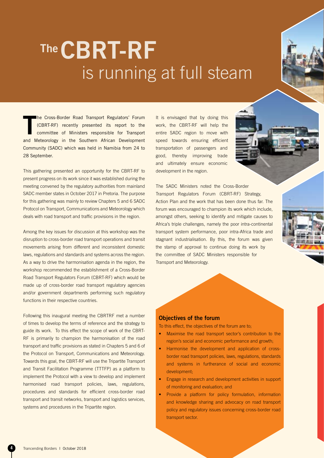## **The CBRT-RF** is running at full steam

**T** he Cross-Border Road Transport Regulators' Forum (CBRT-RF) recently presented its report to the committee of Ministers responsible for Transport and Meteorology in the Southern African Development Community (SADC) which was held in Namibia from 24 to 28 September.

This gathering presented an opportunity for the CBRT-RF to present progress on its work since it was established during the meeting convened by the regulatory authorities from mainland SADC member states in October 2017 in Pretoria. The purpose for this gathering was mainly to review Chapters 5 and 6 SADC Protocol on Transport, Communications and Meteorology which deals with road transport and traffic provisions in the region.

Among the key issues for discussion at this workshop was the disruption to cross-border road transport operations and transit movements arising from different and inconsistent domestic laws, regulations and standards and systems across the region. As a way to drive the harmonisation agenda in the region, the workshop recommended the establishment of a Cross-Border Road Transport Regulators Forum (CBRT-RF) which would be made up of cross-border road transport regulatory agencies and/or government departments performing such regulatory functions in their respective countries.

Following this inaugural meeting the CBRTRF met a number of times to develop the terms of reference and the strategy to guide its work. To this effect the scope of work of the CBRT-RF is primarily to champion the harmonisation of the road transport and traffic provisions as stated in Chapters 5 and 6 of the Protocol on Transport, Communications and Meteorology. Towards this goal, the CBRT-RF will use the Tripartite Transport and Transit Facilitation Programme (TTTFP) as a platform to implement the Protocol with a view to develop and implement harmonised road transport policies, laws, regulations, procedures and standards for efficient cross-border road transport and transit networks, transport and logistics services, systems and procedures in the Tripartite region.

It is envisaged that by doing this work, the CBRT-RF will help the entire SADC region to move with speed towards ensuring efficient transportation of passengers and good, thereby improving trade and ultimately ensure economic development in the region.

The SADC Ministers noted the Cross-Border Transport Regulators Forum (CBRT-RF) Strategy, Action Plan and the work that has been done thus far. The forum was encouraged to champion its work which include, amongst others, seeking to identify and mitigate causes to Africa's triple challenges, namely the poor intra-continental transport system performance, poor intra-Africa trade and stagnant industrialisation. By this, the forum was given the stamp of approval to continue doing its work by the committee of SADC Ministers responsible for Transport and Meteorology.

#### **Objectives of the forum**

To this effect, the objectives of the forum are to;

- Maximise the road transport sector's contribution to the region's social and economic performance and growth;
- Harmonise the development and application of crossborder road transport policies, laws, regulations, standards and systems in furtherance of social and economic development;
- Engage in research and development activities in support of monitoring and evaluation; and
- Provide a platform for policy formulation, information and knowledge sharing and advocacy on road transport policy and regulatory issues concerning cross-border road transport sector.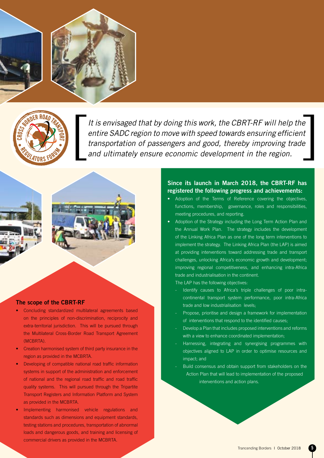



It is envisaged that by doing this work, the CBRT-RF will help the *entire SADC region to move with speed towards ensuring efficient transportation of passengers and good, thereby improving trade and ultimately ensure economic development in the region.* 



#### **The scope of the CBRT-RF**

- Concluding standardized multilateral agreements based on the principles of non-discrimination, reciprocity and extra-territorial jurisdiction. This will be pursued through the Multilateral Cross-Border Road Transport Agreement (MCBRTA).
- Creation harmonised system of third party insurance in the region as provided in the MCBRTA.
- Developing of compatible national road traffic information systems in support of the administration and enforcement of national and the regional road traffic and road traffic quality systems. This will pursued through the Tripartite Transport Registers and Information Platform and System as provided in the MCBRTA.
- Implementing harmonised vehicle regulations and standards such as dimensions and equipment standards, testing stations and procedures, transportation of abnormal loads and dangerous goods, and training and licensing of commercial drivers as provided in the MCBRTA.

#### **Since its launch in March 2018, the CBRT-RF has registered the following progress and achievements:**

- Adoption of the Terms of Reference covering the objectives, functions, membership, governance, roles and responsibilities, meeting procedures, and reporting.
- Adoption of the Strategy including the Long Term Action Plan and the Annual Work Plan. The strategy includes the development of the Linking Africa Plan as one of the long term interventions to implement the strategy. The Linking Africa Plan (the LAP) is aimed at providing interventions toward addressing trade and transport challenges, unlocking Africa's economic growth and development; improving regional competitiveness, and enhancing intra-Africa trade and industrialisation in the continent.

The LAP has the following objectives:

- Identify causes to Africa's triple challenges of poor intracontinental transport system performance, poor intra-Africa trade and low industrialisation levels;
- Propose, prioritise and design a framework for implementation of interventions that respond to the identified causes;
- Develop a Plan that includes proposed interventions and reforms with a view to enhance coordinated implementation;
- Harnessing, integrating and synergising programmes with objectives aligned to LAP in order to optimise resources and impact; and
- Build consensus and obtain support from stakeholders on the Action Plan that will lead to implementation of the proposed interventions and action plans.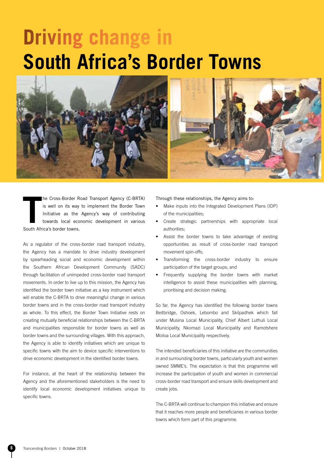## **Driving change in South Africa's Border Towns**



**THE CRISE-Border Reference is well on its way<br>
Initiative as the<br>
towards local econ<br>
South Africa's border towns.** he Cross-Border Road Transport Agency (C-BRTA) is well on its way to implement the Border Town Initiative as the Agency's way of contributing towards local economic development in various

As a regulator of the cross-border road transport industry, the Agency has a mandate to drive industry development by spearheading social and economic development within the Southern African Development Community (SADC) through facilitation of unimpeded cross-border road transport movements. In order to live up to this mission, the Agency has identified the border town initiative as a key instrument which will enable the C-BRTA to drive meaningful change in various border towns and in the cross-border road transport industry as whole. To this effect, the Border Town Initiative rests on creating mutually beneficial relationships between the C-BRTA and municipalities responsible for border towns as well as border towns and the surrounding villages. With this approach, the Agency is able to identify initiatives which are unique to specific towns with the aim to device specific interventions to drive economic development in the identified border towns.

For instance, at the heart of the relationship between the Agency and the aforementioned stakeholders is the need to identify local economic development initiatives unique to specific towns.

Through these relationships, the Agency aims to:

- Make inputs into the Integrated Development Plans (IDP) of the municipalities;
- Create strategic partnerships with appropriate local authorities;
- Assist the border towns to take advantage of existing opportunities as result of cross-border road transport movement spin-offs;
- Transforming the cross-border industry to ensure participation of the target groups; and
- Frequently supplying the border towns with market intelligence to assist these municipalities with planning, prioritising and decision making.

So far, the Agency has identified the following border towns Beitbridge, Oshoek, Lebombo and Skilpadhek which fall under Musina Local Municipality, Chief Albert Luthuli Local Municipality, Nkomazi Local Municipality and Ramotshere Moiloa Local Municipality respectively.

The intended beneficiaries of this initiative are the communities in and surrounding border towns, particularly youth and women owned SMME's. The expectation is that this programme will increase the participation of youth and women in commercial cross-border road transport and ensure skills development and create jobs.

The C-BRTA will continue to champion this initiative and ensure that it reaches more people and beneficiaries in various border towns which form part of this programme.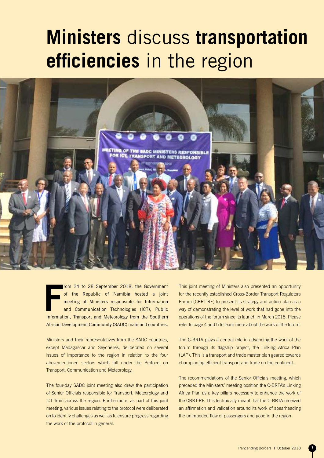## **Ministers** discuss **transportation efficiencies** in the region



**F**<br>Informat rom 24 to 28 September 2018, the Government of the Republic of Namibia hosted a joint meeting of Ministers responsible for Information and Communication Technologies (ICT), Public Information, Transport and Meteorology from the Southern African Development Community (SADC) mainland countries.

Ministers and their representatives from the SADC countries, except Madagascar and Seychelles, deliberated on several issues of importance to the region in relation to the four abovementioned sectors which fall under the Protocol on Transport, Communication and Meteorology.

The four-day SADC joint meeting also drew the participation of Senior Officials responsible for Transport, Meteorology and ICT from across the region. Furthermore, as part of this joint meeting, various issues relating to the protocol were deliberated on to identify challenges as well as to ensure progress regarding the work of the protocol in general.

This joint meeting of Ministers also presented an opportunity for the recently established Cross-Border Transport Regulators Forum (CBRT-RF) to present its strategy and action plan as a way of demonstrating the level of work that had gone into the operations of the forum since its launch in March 2018. Please refer to page 4 and 5 to learn more about the work of the forum.

The C-BRTA plays a central role in advancing the work of the forum through its flagship project, the Linking Africa Plan (LAP). This is a transport and trade master plan geared towards championing efficient transport and trade on the continent.

The recommendations of the Senior Officials meeting, which preceded the Ministers' meeting position the C-BRTA's Linking Africa Plan as a key pillars necessary to enhance the work of the CBRT-RF. This technically meant that the C-BRTA received an affirmation and validation around its work of spearheading the unimpeded flow of passengers and good in the region.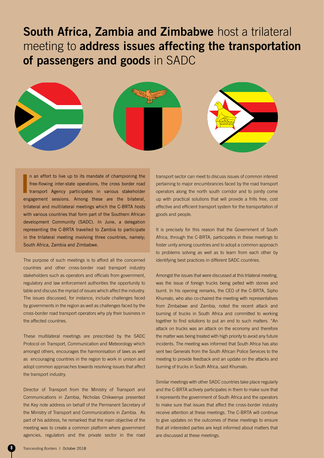### **South Africa, Zambia and Zimbabwe** host a trilateral meeting to **address issues affecting the transportation of passengers and goods** in SADC



**I** n an effort to live up to its mandate of championing the free-flowing inter-state operations, the cross border road transport Agency participates in various stakeholder engagement sessions. Among these are the bilateral, trilateral and multilateral meetings which the C-BRTA hosts with various countries that form part of the Southern African development Community (SADC). In June, a delegation representing the C-BRTA travelled to Zambia to participate in the trilateral meeting involving three countries, namely; South Africa, Zambia and Zimbabwe.

The purpose of such meetings is to afford all the concerned countries and other cross-border road transport industry stakeholders such as operators and officials from government, regulatory and law enforcement authorities the opportunity to table and discuss the myriad of issues which affect the industry. The issues discussed, for instance, include challenges faced by governments in the region as well as challenges faced by the cross-border road transport operators why ply their business in the affected countries.

These multilateral meetings are prescribed by the SADC Protocol on Transport, Communication and Meteorology which amongst others, encourages the harmonisation of laws as well as encouraging countries in the region to work in unison and adopt common approaches towards resolving issues that affect the transport industry.

Director of Transport from the Ministry of Transport and Communications in Zambia, Nicholas Chikwenya presented the Key note address on behalf of the Permanent Secretary of the Ministry of Transport and Communications in Zambia. As part of his address, he remarked that the main objective of the meeting was to create a common platform where government agencies, regulators and the private sector in the road

transport sector can meet to discuss issues of common interest pertaining to major encumbrances faced by the road transport operators along the north south corridor and to jointly come up with practical solutions that will provide a frills free, cost effective and efficient transport system for the transportation of goods and people.

It is precisely for this reason that the Government of South Africa, through the C-BRTA, participates in these meetings to foster unity among countries and to adopt a common approach to problems solving as well as to learn from each other by identifying best practices in different SADC countries.

Amongst the issues that were discussed at this trilateral meeting, was the issue of foreign trucks being pelted with stones and burnt. In his opening remarks, the CEO of the C-BRTA, Sipho Khumalo, who also co-chaired the meeting with representatives from Zimbabwe and Zambia, noted the recent attack and burning of trucks in South Africa and committed to working together to find solutions to put an end to such matters. "An attack on trucks was an attack on the economy and therefore the matter was being treated with high priority to avoid any future incidents. The meeting was informed that South Africa has also sent two Generals from the South African Police Services to the meeting to provide feedback and an update on the attacks and burning of trucks in South Africa, said Khumalo.

Similar meetings with other SADC countries take place regularly and the C-BRTA actively participates in them to make sure that it represents the government of South Africa and the operators to make sure that issues that affect the cross-border industry receive attention at these meetings. The C-BRTA will continue to give updates on the outcomes of these meetings to ensure that all interested parties are kept informed about matters that are discussed at these meetings.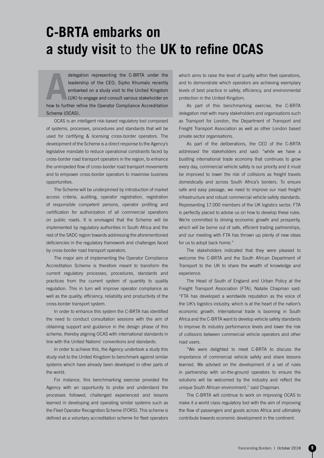### **C-BRTA embarks on a study visit** to the **UK to refine OCAS**

delegation representing the C-BRTA under the<br>leadership of the CEO, Sipho Khumalo recently<br>embarked on a study visit to the United Kingdom<br>(UK) to engage and consult various stakeholder on<br>how to further refine the Operato delegation representing the C-BRTA under the leadership of the CEO, Sipho Khumalo recently embarked on a study visit to the United Kingdom (UK) to engage and consult various stakeholder on Scheme (OCAS).

OCAS is an intelligent risk-based regulatory tool composed of systems, processes, procedures and standards that will be used for certifying & licensing cross-border operators. The development of the Scheme is a direct response to the Agency's legislative mandate to reduce operational constraints faced by cross-border road transport operators in the region, to enhance the unimpeded flow of cross-border road transport movements and to empower cross-border operators to maximise business opportunities.

The Scheme will be underpinned by introduction of market access criteria, auditing, operator registration, registration of responsible competent persons, operator profiling and certification for authorization of all commercial operations on public roads. It is envisaged that the Scheme will be implemented by regulatory authorities in South Africa and the rest of the SADC region towards addressing the aforementioned deficiencies in the regulatory framework and challenges faced by cross-border road transport operators.

The major aim of implementing the Operator Compliance Accreditation Scheme is therefore meant to transform the current regulatory processes, procedures, standards and practices from the current system of quantity to quality regulation. This in turn will improve operator compliance as well as the quality, efficiency, reliability and productivity of the cross-border transport system.

In order to enhance this system the C-BRTA has identified the need to conduct consultation sessions with the aim of obtaining support and guidance in the design phase of this scheme, thereby aligning OCAS with international standards in line with the United Nations' conventions and standards.

In order to achieve this, the Agency undertook a study this study visit to the United Kingdom to benchmark against similar systems which have already been developed in other parts of the world.

For instance, this benchmarking exercise provided the Agency with an opportunity to probe and understand the processes followed, challenged experienced and lessons learned in developing and operating similar systems such as the Fleet Operator Recognition Scheme (FORS). This scheme is defined as a voluntary accreditation scheme for fleet operators which aims to raise the level of quality within fleet operations, and to demonstrate which operators are achieving exemplary levels of best practice in safety, efficiency, and environmental protection in the United Kingdom.

As part of this benchmarking exercise, the C-BRTA delegation met with many stakeholders and organisations such as Transport for London, the Department of Transport and Freight Transport Association as well as other London based private sector organisations.

As part of the deliberations, the CEO of the C-BRTA addressed the stakeholders and said: "while we have a bustling international trade economy that continues to grow every day, commercial vehicle safety is our priority and it must be improved to lower the risk of collisions as freight travels domestically and across South Africa's borders. To ensure safe and easy passage, we need to improve our road freight infrastructure and robust commercial vehicle safety standards. Representing 17,000 members of the UK logistics sector, FTA is perfectly placed to advise us on how to develop these rules. We're committed to driving economic growth and prosperity. which will be borne out of safe, efficient trading partnerships, and our meeting with FTA has thrown up plenty of new ideas for us to adopt back home."

The stakeholders indicated that they were pleased to welcome the C-BRTA and the South African Department of Transport to the UK to share the wealth of knowledge and experience.

The Head of South of England and Urban Policy at the Freight Transport Association (FTA), Natalie Chapman said: "FTA has developed a worldwide reputation as the voice of the UK's logistics industry, which is at the heart of the nation's economic growth. International trade is booming in South Africa and the C-BRTA want to develop vehicle safety standards to improve its industry performance levels and lower the risk of collisions between commercial vehicle operators and other road users.

"We were delighted to meet C-BRTA to discuss the importance of commercial vehicle safety and share lessons learned. We advised on the development of a set of rules in partnership with on-the-ground operators to ensure the solutions will be welcomed by the industry and reflect the unique South African environment," said Chapman.

The C-BRTA will continue to work on improving OCAS to make it a world class regulatory tool with the aim of improving the flow of passengers and goods across Africa and ultimately contribute towards economic development in the continent.